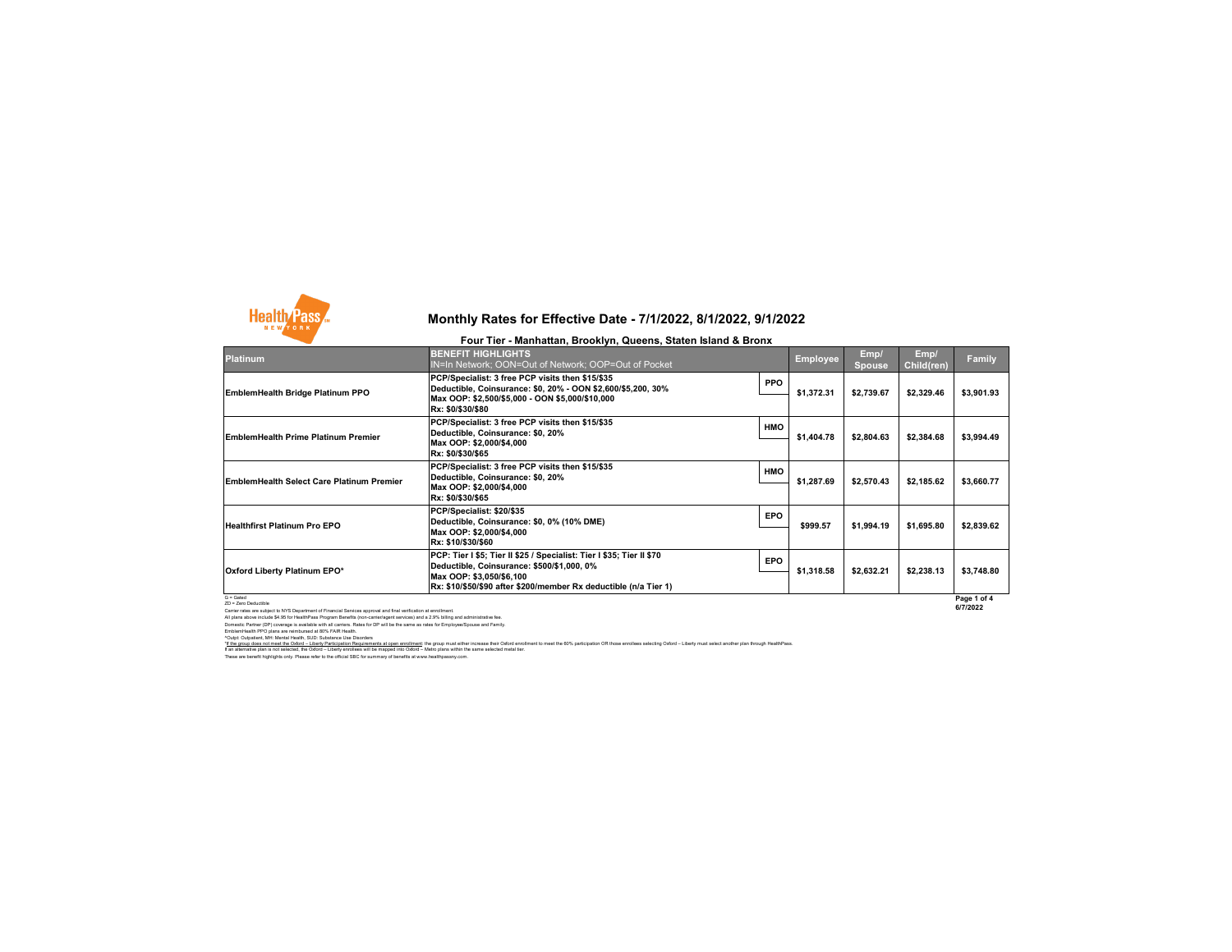

## **Four Tier - Manhattan, Brooklyn, Queens, Staten Island & Bronx**

| Platinum                                  | <b>BENEFIT HIGHLIGHTS</b><br>IN=In Network; OON=Out of Network; OOP=Out of Pocket                                                                                                                                   |            | <b>Employee</b> | Emp/<br><b>Spouse</b> | Emp/<br>Child(ren) | <b>Family</b> |
|-------------------------------------------|---------------------------------------------------------------------------------------------------------------------------------------------------------------------------------------------------------------------|------------|-----------------|-----------------------|--------------------|---------------|
| EmblemHealth Bridge Platinum PPO          | PCP/Specialist: 3 free PCP visits then \$15/\$35<br>Deductible, Coinsurance: \$0, 20% - OON \$2,600/\$5,200, 30%<br>Max OOP: \$2,500/\$5,000 - OON \$5,000/\$10,000<br>Rx: \$0/\$30/\$80                            | <b>PPO</b> | \$1,372.31      | \$2.739.67            | \$2,329.46         | \$3,901.93    |
| EmblemHealth Prime Platinum Premier       | PCP/Specialist: 3 free PCP visits then \$15/\$35<br>Deductible, Coinsurance: \$0, 20%<br>Max OOP: \$2,000/\$4,000<br>Rx: \$0/\$30/\$65                                                                              | <b>HMO</b> | \$1,404.78      | \$2,804.63            | \$2,384.68         | \$3,994.49    |
| EmblemHealth Select Care Platinum Premier | PCP/Specialist: 3 free PCP visits then \$15/\$35<br>Deductible, Coinsurance: \$0, 20%<br>Max OOP: \$2,000/\$4,000<br>Rx: \$0/\$30/\$65                                                                              | <b>HMO</b> | \$1,287.69      | \$2,570.43            | \$2,185.62         | \$3,660.77    |
| <b>Healthfirst Platinum Pro EPO</b>       | PCP/Specialist: \$20/\$35<br>Deductible, Coinsurance: \$0, 0% (10% DME)<br>Max OOP: \$2,000/\$4,000<br>Rx: \$10/\$30/\$60                                                                                           | <b>EPO</b> | \$999.57        | \$1.994.19            | \$1,695.80         | \$2,839.62    |
| Oxford Liberty Platinum EPO*              | PCP: Tier I \$5; Tier II \$25 / Specialist: Tier I \$35; Tier II \$70<br>Deductible, Coinsurance: \$500/\$1,000, 0%<br>Max OOP: \$3,050/\$6,100<br>Rx: \$10/\$50/\$90 after \$200/member Rx deductible (n/a Tier 1) | <b>EPO</b> | \$1,318.58      | \$2,632.21            | \$2,238.13         | \$3,748.80    |
| $G =$ Gated                               |                                                                                                                                                                                                                     |            |                 |                       |                    | Page 1 of 4   |

**Page 1 of 4 6/7/2022**

2D - Zero Deductitie<br>Cartier rates are subject to NYS Department of Financial Services approval and final verification at enrollment<br>All plans above include \$4.5 for HealthPass Program Benefits (non-carrierlagent services)

"<u>If the group does not meet the Odord – Liberty Participation Requirements at open enrolliment</u> the group must ether increase their of order on the the 60% participation OR those enrollees selecting Odord – Liberty must s

These are benefit highlights only. Please refer to the official SBC for summary of benefits at www.healthpassny.com.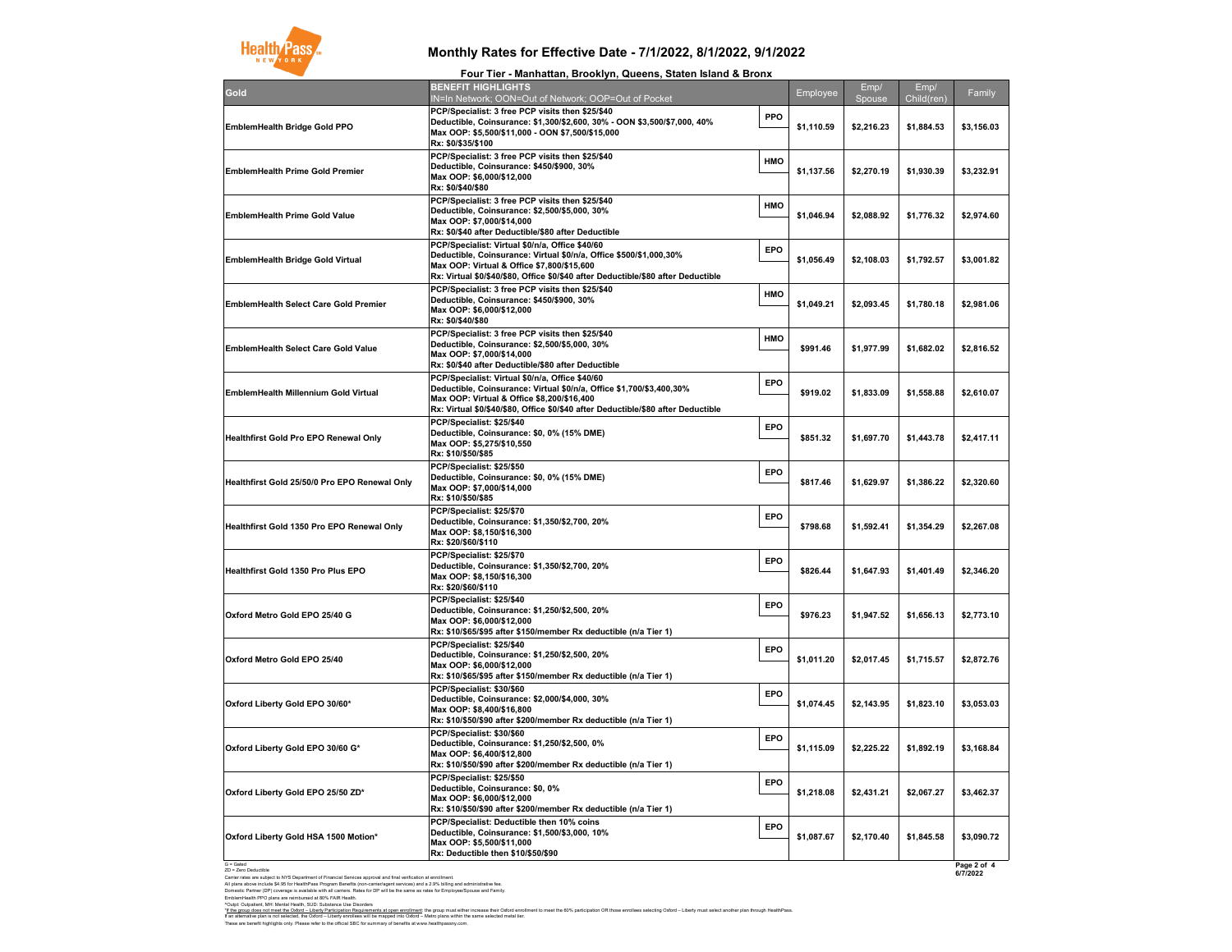

**Four Tier - Manhattan, Brooklyn, Queens, Staten Island & Bronx**

| Gold                                          | .<br>.<br>, <b>Droomyn, Quoono, Olulon lolullu &amp; Dro</b> nz<br><b>BENEFIT HIGHLIGHTS</b><br>IN=In Network; OON=Out of Network; OOP=Out of Pocket                                                                                                       |            | Employee   | Emp/<br>Spouse | Emp/<br>Child(ren) | Family                  |
|-----------------------------------------------|------------------------------------------------------------------------------------------------------------------------------------------------------------------------------------------------------------------------------------------------------------|------------|------------|----------------|--------------------|-------------------------|
| EmblemHealth Bridge Gold PPO                  | PCP/Specialist: 3 free PCP visits then \$25/\$40<br>Deductible, Coinsurance: \$1,300/\$2,600, 30% - OON \$3,500/\$7,000, 40%<br>Max OOP: \$5,500/\$11,000 - OON \$7,500/\$15,000<br>Rx: \$0/\$35/\$100                                                     | PPO        | \$1,110.59 | \$2,216.23     | \$1,884.53         | \$3,156.03              |
| <b>EmblemHealth Prime Gold Premier</b>        | PCP/Specialist: 3 free PCP visits then \$25/\$40<br>Deductible, Coinsurance: \$450/\$900, 30%<br>Max OOP: \$6,000/\$12,000<br>Rx: \$0/\$40/\$80                                                                                                            | HMO        | \$1,137.56 | \$2,270.19     | \$1,930.39         | \$3,232.91              |
| <b>EmblemHealth Prime Gold Value</b>          | PCP/Specialist: 3 free PCP visits then \$25/\$40<br>Deductible, Coinsurance: \$2,500/\$5,000, 30%<br>Max OOP: \$7,000/\$14,000<br>Rx: \$0/\$40 after Deductible/\$80 after Deductible                                                                      | HMO        | \$1,046.94 | \$2,088.92     | \$1,776.32         | \$2,974.60              |
| EmblemHealth Bridge Gold Virtual              | PCP/Specialist: Virtual \$0/n/a, Office \$40/60<br>Deductible, Coinsurance: Virtual \$0/n/a, Office \$500/\$1,000,30%<br>Max OOP: Virtual & Office \$7,800/\$15,600<br>Rx: Virtual \$0/\$40/\$80, Office \$0/\$40 after Deductible/\$80 after Deductible   | <b>EPO</b> | \$1,056.49 | \$2,108.03     | \$1,792.57         | \$3,001.82              |
| EmblemHealth Select Care Gold Premier         | PCP/Specialist: 3 free PCP visits then \$25/\$40<br>Deductible, Coinsurance: \$450/\$900, 30%<br>Max OOP: \$6,000/\$12,000<br>Rx: \$0/\$40/\$80                                                                                                            | HMO        | \$1,049.21 | \$2,093.45     | \$1,780.18         | \$2,981.06              |
| EmblemHealth Select Care Gold Value           | PCP/Specialist: 3 free PCP visits then \$25/\$40<br>Deductible, Coinsurance: \$2,500/\$5,000, 30%<br>Max OOP: \$7,000/\$14,000<br>Rx: \$0/\$40 after Deductible/\$80 after Deductible                                                                      | <b>HMO</b> | \$991.46   | \$1,977.99     | \$1,682.02         | \$2,816.52              |
| EmblemHealth Millennium Gold Virtual          | PCP/Specialist: Virtual \$0/n/a, Office \$40/60<br>Deductible, Coinsurance: Virtual \$0/n/a, Office \$1,700/\$3,400,30%<br>Max OOP: Virtual & Office \$8,200/\$16,400<br>Rx: Virtual \$0/\$40/\$80, Office \$0/\$40 after Deductible/\$80 after Deductible | EPO        | \$919.02   | \$1,833.09     | \$1,558.88         | \$2,610.07              |
| Healthfirst Gold Pro EPO Renewal Only         | PCP/Specialist: \$25/\$40<br>Deductible, Coinsurance: \$0, 0% (15% DME)<br>Max OOP: \$5,275/\$10,550<br>Rx: \$10/\$50/\$85                                                                                                                                 | EPO        | \$851.32   | \$1,697.70     | \$1,443.78         | \$2,417.11              |
| Healthfirst Gold 25/50/0 Pro EPO Renewal Only | PCP/Specialist: \$25/\$50<br>Deductible, Coinsurance: \$0, 0% (15% DME)<br>Max OOP: \$7,000/\$14,000<br>Rx: \$10/\$50/\$85                                                                                                                                 | EPO        | \$817.46   | \$1,629.97     | \$1,386.22         | \$2,320.60              |
| Healthfirst Gold 1350 Pro EPO Renewal Only    | PCP/Specialist: \$25/\$70<br>Deductible, Coinsurance: \$1,350/\$2,700, 20%<br>Max OOP: \$8,150/\$16,300<br>Rx: \$20/\$60/\$110                                                                                                                             | EPO        | \$798.68   | \$1,592.41     | \$1,354.29         | \$2,267.08              |
| Healthfirst Gold 1350 Pro Plus EPO            | PCP/Specialist: \$25/\$70<br>Deductible, Coinsurance: \$1,350/\$2,700, 20%<br>Max OOP: \$8,150/\$16,300<br>Rx: \$20/\$60/\$110                                                                                                                             | EPO        | \$826.44   | \$1,647.93     | \$1,401.49         | \$2,346.20              |
| Oxford Metro Gold EPO 25/40 G                 | PCP/Specialist: \$25/\$40<br>Deductible, Coinsurance: \$1,250/\$2,500, 20%<br>Max OOP: \$6,000/\$12,000<br>Rx: \$10/\$65/\$95 after \$150/member Rx deductible (n/a Tier 1)                                                                                | EPO        | \$976.23   | \$1,947.52     | \$1,656.13         | \$2,773.10              |
| Oxford Metro Gold EPO 25/40                   | PCP/Specialist: \$25/\$40<br>Deductible, Coinsurance: \$1,250/\$2,500, 20%<br>Max OOP: \$6,000/\$12,000<br>Rx: \$10/\$65/\$95 after \$150/member Rx deductible (n/a Tier 1)                                                                                | EPO        | \$1,011.20 | \$2,017.45     | \$1,715.57         | \$2,872.76              |
| Oxford Liberty Gold EPO 30/60*                | PCP/Specialist: \$30/\$60<br>Deductible, Coinsurance: \$2,000/\$4,000, 30%<br>Max OOP: \$8,400/\$16,800<br>Rx: \$10/\$50/\$90 after \$200/member Rx deductible (n/a Tier 1)                                                                                | EPO        | \$1,074.45 | \$2,143.95     | \$1,823.10         | \$3,053.03              |
| Oxford Liberty Gold EPO 30/60 G*              | PCP/Specialist: \$30/\$60<br>Deductible, Coinsurance: \$1,250/\$2,500, 0%<br>Max OOP: \$6,400/\$12,800<br>Rx: \$10/\$50/\$90 after \$200/member Rx deductible (n/a Tier 1)                                                                                 | EPO        | \$1,115.09 | \$2,225.22     | \$1,892.19         | \$3,168.84              |
| Oxford Liberty Gold EPO 25/50 ZD*             | PCP/Specialist: \$25/\$50<br>Deductible, Coinsurance: \$0, 0%<br>Max OOP: \$6,000/\$12,000<br>Rx: \$10/\$50/\$90 after \$200/member Rx deductible (n/a Tier 1)                                                                                             | EPO        | \$1,218.08 | \$2,431.21     | \$2,067.27         | \$3,462.37              |
| Oxford Liberty Gold HSA 1500 Motion*          | PCP/Specialist: Deductible then 10% coins<br>Deductible, Coinsurance: \$1,500/\$3,000, 10%<br>Max OOP: \$5,500/\$11,000<br>Rx: Deductible then \$10/\$50/\$90                                                                                              | EPO        | \$1,087.67 | \$2,170.40     | \$1,845.58         | \$3,090.72              |
| G = Gated<br>ZD = Zero Deductible             |                                                                                                                                                                                                                                                            |            |            |                |                    | Page 2 of 4<br>6/7/2022 |

Carler rates are subject to WS Department of Francial Services approval and frast wetfication at envoltinent.<br>All plane above include \$4.95 for HealthPass Program Benefits (non-carrieringerit aerioces) and a 2.9% tailing a

"If the group does not meet the Odord – Liberty Participation Requirements at open enrollment the group must ether increase their of order on the fol% participation OR those enrollees selecting Odord – Liberty must select

These are benefit highlights only. Please refer to the official SBC for summary of benefits at www.healthpassny.com.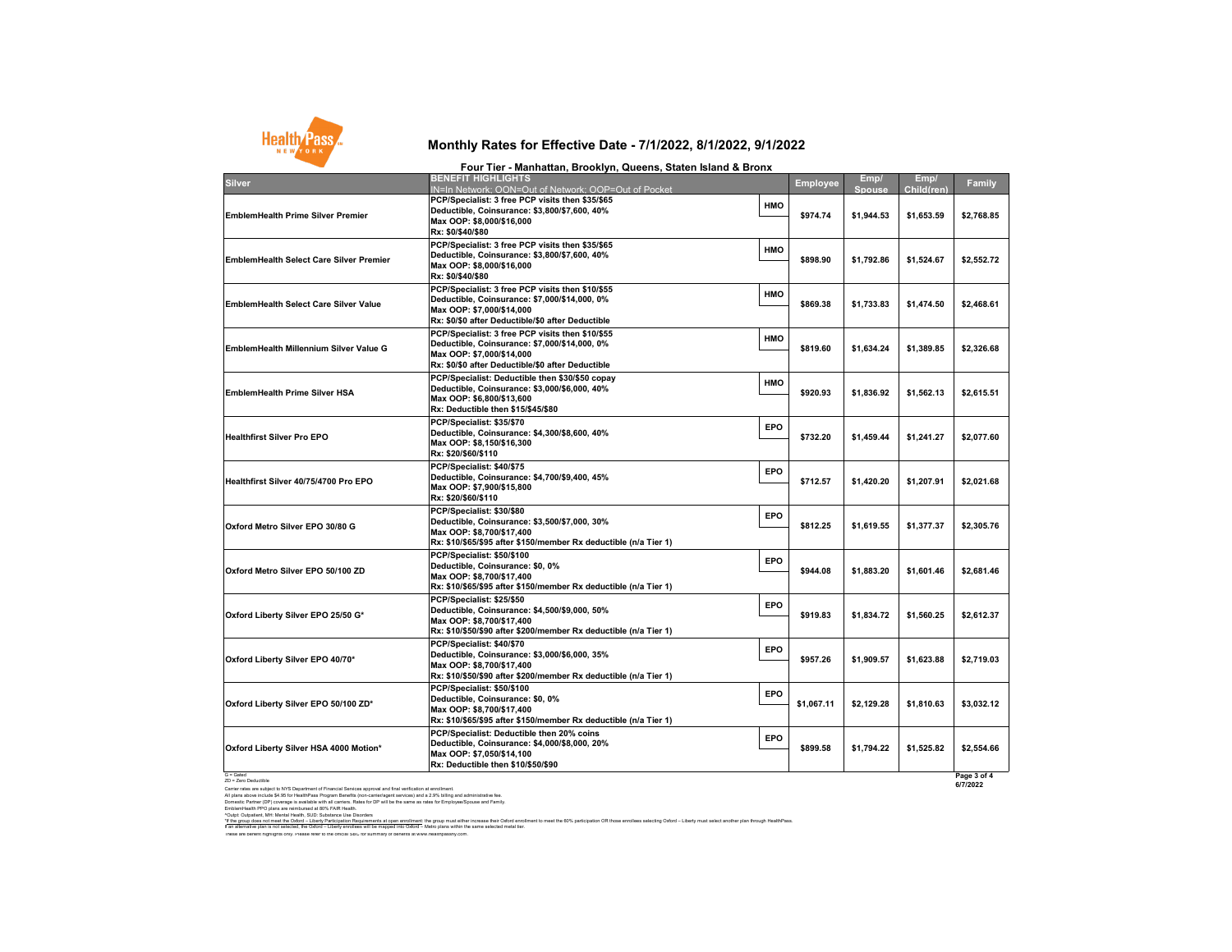

| Four Tier - Manhattan, Brooklyn, Queens, Staten Island & Bronx |                                                                                                                                                                                     |     |                 |                |                    |            |  |
|----------------------------------------------------------------|-------------------------------------------------------------------------------------------------------------------------------------------------------------------------------------|-----|-----------------|----------------|--------------------|------------|--|
| <b>Silver</b>                                                  | <b>BENEFIT HIGHLIGHTS</b><br>IN=In Network: OON=Out of Network: OOP=Out of Pocket                                                                                                   |     | <b>Employee</b> | Emp/<br>Spouse | Emp/<br>Child(ren) | Family     |  |
| EmblemHealth Prime Silver Premier                              | PCP/Specialist: 3 free PCP visits then \$35/\$65<br>Deductible, Coinsurance: \$3,800/\$7,600, 40%<br>Max OOP: \$8,000/\$16,000<br>Rx: \$0/\$40/\$80                                 | HMO | \$974.74        | \$1,944.53     | \$1,653.59         | \$2,768.85 |  |
| EmblemHealth Select Care Silver Premier                        | PCP/Specialist: 3 free PCP visits then \$35/\$65<br>Deductible, Coinsurance: \$3,800/\$7,600, 40%<br>Max OOP: \$8,000/\$16,000<br>Rx: \$0/\$40/\$80                                 | HMO | \$898.90        | \$1,792.86     | \$1,524.67         | \$2,552.72 |  |
| EmblemHealth Select Care Silver Value                          | PCP/Specialist: 3 free PCP visits then \$10/\$55<br>Deductible, Coinsurance: \$7,000/\$14,000, 0%<br>Max OOP: \$7,000/\$14,000<br>Rx: \$0/\$0 after Deductible/\$0 after Deductible | HMO | \$869.38        | \$1,733.83     | \$1,474.50         | \$2,468.61 |  |
| EmblemHealth Millennium Silver Value G                         | PCP/Specialist: 3 free PCP visits then \$10/\$55<br>Deductible, Coinsurance: \$7,000/\$14,000, 0%<br>Max OOP: \$7,000/\$14,000<br>Rx: \$0/\$0 after Deductible/\$0 after Deductible | HMO | \$819.60        | \$1,634.24     | \$1,389.85         | \$2.326.68 |  |
| EmblemHealth Prime Silver HSA                                  | PCP/Specialist: Deductible then \$30/\$50 copay<br>Deductible, Coinsurance: \$3,000/\$6,000, 40%<br>Max OOP: \$6,800/\$13,600<br>Rx: Deductible then \$15/\$45/\$80                 | HMO | \$920.93        | \$1,836.92     | \$1,562.13         | \$2,615.51 |  |
| Healthfirst Silver Pro EPO                                     | PCP/Specialist: \$35/\$70<br>Deductible, Coinsurance: \$4,300/\$8,600, 40%<br>Max OOP: \$8,150/\$16,300<br>Rx: \$20/\$60/\$110                                                      | EPO | \$732.20        | \$1.459.44     | \$1,241.27         | \$2,077.60 |  |
| Healthfirst Silver 40/75/4700 Pro EPO                          | PCP/Specialist: \$40/\$75<br>Deductible, Coinsurance: \$4,700/\$9,400, 45%<br>Max OOP: \$7,900/\$15,800<br>Rx: \$20/\$60/\$110                                                      | EPO | \$712.57        | \$1,420.20     | \$1,207.91         | \$2,021.68 |  |
| Oxford Metro Silver EPO 30/80 G                                | PCP/Specialist: \$30/\$80<br>Deductible, Coinsurance: \$3,500/\$7,000, 30%<br>Max OOP: \$8,700/\$17,400<br>Rx: \$10/\$65/\$95 after \$150/member Rx deductible (n/a Tier 1)         | EPO | \$812.25        | \$1,619.55     | \$1,377.37         | \$2,305.76 |  |
| Oxford Metro Silver EPO 50/100 ZD                              | PCP/Specialist: \$50/\$100<br>Deductible, Coinsurance: \$0, 0%<br>Max OOP: \$8,700/\$17,400<br>Rx: \$10/\$65/\$95 after \$150/member Rx deductible (n/a Tier 1)                     | EPO | \$944.08        | \$1,883.20     | \$1,601.46         | \$2,681.46 |  |
| Oxford Liberty Silver EPO 25/50 G*                             | PCP/Specialist: \$25/\$50<br>Deductible, Coinsurance: \$4,500/\$9,000, 50%<br>Max OOP: \$8,700/\$17,400<br>Rx: \$10/\$50/\$90 after \$200/member Rx deductible (n/a Tier 1)         | EPO | \$919.83        | \$1,834.72     | \$1,560.25         | \$2,612.37 |  |
| Oxford Liberty Silver EPO 40/70*                               | PCP/Specialist: \$40/\$70<br>Deductible, Coinsurance: \$3,000/\$6,000, 35%<br>Max OOP: \$8,700/\$17,400<br>Rx: \$10/\$50/\$90 after \$200/member Rx deductible (n/a Tier 1)         | EPO | \$957.26        | \$1,909.57     | \$1,623.88         | \$2,719.03 |  |
| Oxford Liberty Silver EPO 50/100 ZD*                           | PCP/Specialist: \$50/\$100<br>Deductible, Coinsurance: \$0, 0%<br>Max OOP: \$8,700/\$17,400<br>Rx: \$10/\$65/\$95 after \$150/member Rx deductible (n/a Tier 1)                     | EPO | \$1,067.11      | \$2,129.28     | \$1,810.63         | \$3,032.12 |  |
| Oxford Liberty Silver HSA 4000 Motion*                         | PCP/Specialist: Deductible then 20% coins<br>Deductible, Coinsurance: \$4,000/\$8,000, 20%<br>Max OOP: \$7,050/\$14,100<br>Rx: Deductible then \$10/\$50/\$90                       | EPO | \$899.58        | \$1,794.22     | \$1,525.82         | \$2,554.66 |  |

G = Gated<br>Carler rates are subject to NYS Department of Financial Services approval and final verification at enrolment.<br>All plans above include \$4.95 for HealthPass Program Benefits (non-carrieringent services) and a 2.9%

rOugheri, Mr. Merial Helli, SUD, Substract Me Blooders<br>I an allematic planned in the Substract Meridian International the group mut the forestander of Outdoor Meridian OR 60% participation OR floor enrollers selecting Oxfo

These are benefit highlights only. Please refer to the official SBC for summary of benefits at www.healthpassny.com.

**Page 3 of 4 6/7/2022**